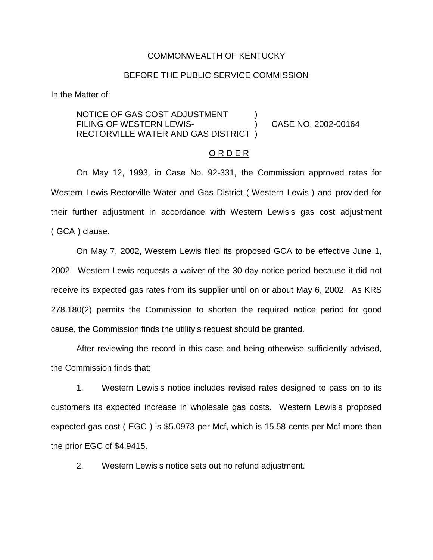#### COMMONWEALTH OF KENTUCKY

### BEFORE THE PUBLIC SERVICE COMMISSION

In the Matter of:

NOTICE OF GAS COST ADJUSTMENT FILING OF WESTERN LEWIS-<br>
(2002-00164 RECTORVILLE WATER AND GAS DISTRICT )

### O R D E R

On May 12, 1993, in Case No. 92-331, the Commission approved rates for Western Lewis-Rectorville Water and Gas District ( Western Lewis ) and provided for their further adjustment in accordance with Western Lewis s gas cost adjustment ( GCA ) clause.

On May 7, 2002, Western Lewis filed its proposed GCA to be effective June 1, 2002. Western Lewis requests a waiver of the 30-day notice period because it did not receive its expected gas rates from its supplier until on or about May 6, 2002. As KRS 278.180(2) permits the Commission to shorten the required notice period for good cause, the Commission finds the utility s request should be granted.

After reviewing the record in this case and being otherwise sufficiently advised, the Commission finds that:

1. Western Lewis s notice includes revised rates designed to pass on to its customers its expected increase in wholesale gas costs. Western Lewis s proposed expected gas cost ( EGC ) is \$5.0973 per Mcf, which is 15.58 cents per Mcf more than the prior EGC of \$4.9415.

2. Western Lewis s notice sets out no refund adjustment.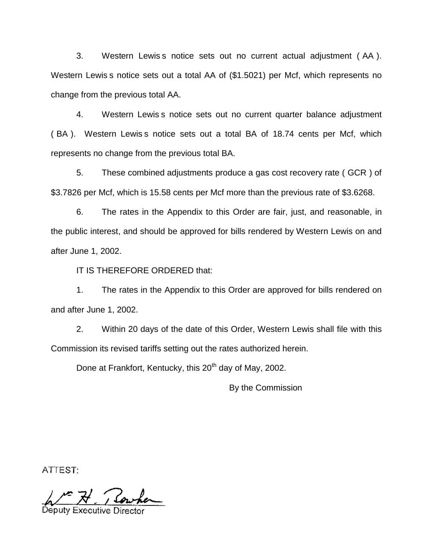3. Western Lewis s notice sets out no current actual adjustment ( AA ). Western Lewis s notice sets out a total AA of (\$1.5021) per Mcf, which represents no change from the previous total AA.

4. Western Lewis s notice sets out no current quarter balance adjustment ( BA ). Western Lewis s notice sets out a total BA of 18.74 cents per Mcf, which represents no change from the previous total BA.

5. These combined adjustments produce a gas cost recovery rate ( GCR ) of \$3.7826 per Mcf, which is 15.58 cents per Mcf more than the previous rate of \$3.6268.

6. The rates in the Appendix to this Order are fair, just, and reasonable, in the public interest, and should be approved for bills rendered by Western Lewis on and after June 1, 2002.

IT IS THEREFORE ORDERED that:

1. The rates in the Appendix to this Order are approved for bills rendered on and after June 1, 2002.

2. Within 20 days of the date of this Order, Western Lewis shall file with this Commission its revised tariffs setting out the rates authorized herein.

Done at Frankfort, Kentucky, this 20<sup>th</sup> day of May, 2002.

By the Commission

ATTEST:

Deputy Executive [